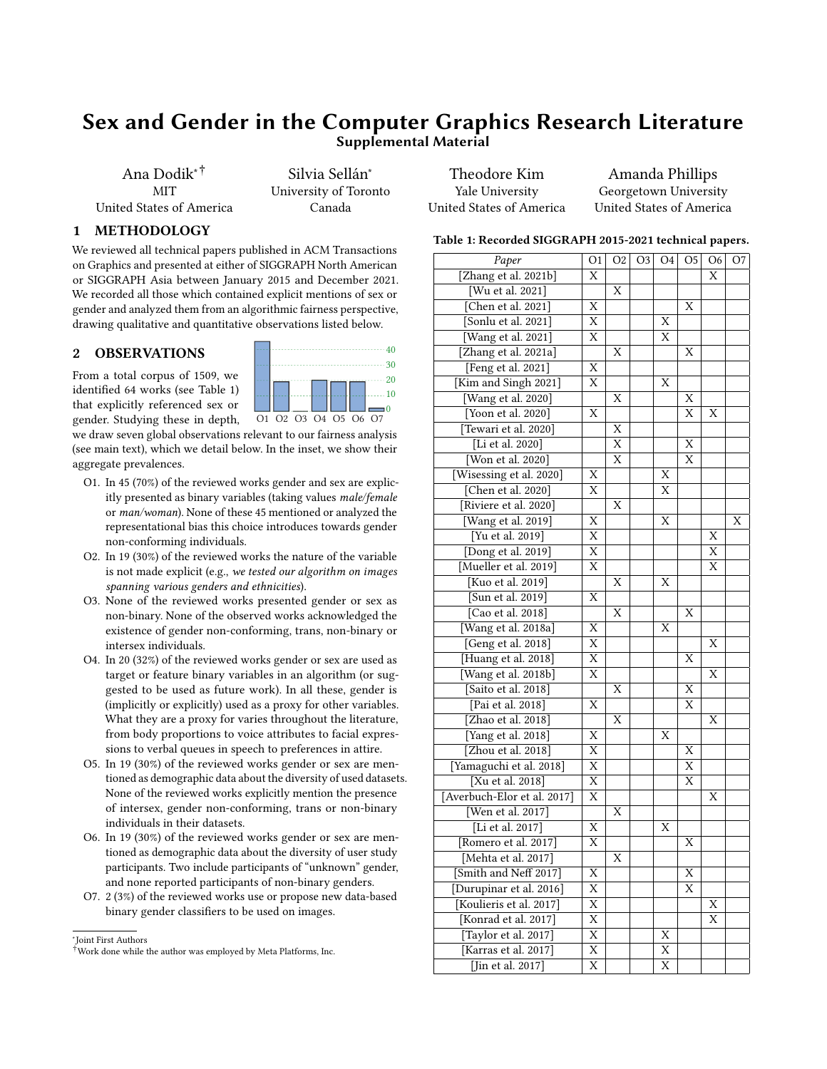# Sex and Gender in the Computer Graphics Research Literature Supplemental Material

Ana Dodik∗† **MIT** United States of America

Silvia Sellán<sup>∗</sup> University of Toronto Canada

 $01 \cup 11 \cup 03 \cup 04 \cup 05 \cup 06 \cup 07$ 

30 40

> $\cdots$ 10  $\cdots$  20

Theodore Kim Yale University United States of America

Amanda Phillips Georgetown University United States of America

 $T_{\text{1}}$   $T_{\text{2}}$   $T_{\text{2}}$   $T_{\text{2}}$   $T_{\text{2}}$   $T_{\text{2}}$   $T_{\text{2}}$   $T_{\text{2}}$   $T_{\text{2}}$   $T_{\text{2}}$   $T_{\text{2}}$   $T_{\text{2}}$   $T_{\text{2}}$   $T_{\text{2}}$   $T_{\text{2}}$   $T_{\text{2}}$   $T_{\text{2}}$   $T_{\text{2}}$   $T_{\text{2}}$   $T_{\text{2}}$   $T_{\text{2}}$   $T_{\text{2}}$ 

## 1 METHODOLOGY

We reviewed all technical papers published in ACM Transactions on Graphics and presented at either of SIGGRAPH North American or SIGGRAPH Asia between January 2015 and December 2021. We recorded all those which contained explicit mentions of sex or gender and analyzed them from an algorithmic fairness perspective, drawing qualitative and quantitative observations listed below.

### 2 OBSERVATIONS

From a total corpus of 1509, we identified 64 works (see Table [1\)](#page-0-0) that explicitly referenced sex or gender. Studying these in depth,

we draw seven global observations relevant to our fairness analysis (see main text), which we detail below. In the inset, we show their aggregate prevalences.

- O1. In 45 (70%) of the reviewed works gender and sex are explicitly presented as binary variables (taking values male/female or man/woman). None of these 45 mentioned or analyzed the representational bias this choice introduces towards gender non-conforming individuals.
- O2. In 19 (30%) of the reviewed works the nature of the variable is not made explicit (e.g., we tested our algorithm on images spanning various genders and ethnicities).
- O3. None of the reviewed works presented gender or sex as non-binary. None of the observed works acknowledged the existence of gender non-conforming, trans, non-binary or intersex individuals.
- O4. In 20 (32%) of the reviewed works gender or sex are used as target or feature binary variables in an algorithm (or suggested to be used as future work). In all these, gender is (implicitly or explicitly) used as a proxy for other variables. What they are a proxy for varies throughout the literature, from body proportions to voice attributes to facial expressions to verbal queues in speech to preferences in attire.
- O5. In 19 (30%) of the reviewed works gender or sex are mentioned as demographic data about the diversity of used datasets. None of the reviewed works explicitly mention the presence of intersex, gender non-conforming, trans or non-binary individuals in their datasets.
- O6. In 19 (30%) of the reviewed works gender or sex are mentioned as demographic data about the diversity of user study participants. Two include participants of "unknown" gender, and none reported participants of non-binary genders.
- O7. 2 (3%) of the reviewed works use or propose new data-based binary gender classifiers to be used on images.

∗ Joint First Authors

<span id="page-0-0"></span>

| Table 1: Recorded SIGGRAPH 2015-2021 technical papers. |                         |    |    |    |                |                |    |  |  |  |  |
|--------------------------------------------------------|-------------------------|----|----|----|----------------|----------------|----|--|--|--|--|
| Paper                                                  | O1                      | O2 | O3 | O4 | O <sub>5</sub> | O <sub>6</sub> | O7 |  |  |  |  |
| [Zhang et al. 2021b]                                   | X                       |    |    |    |                | X              |    |  |  |  |  |
| [Wu et al. 2021]                                       |                         | Χ  |    |    |                |                |    |  |  |  |  |
| [Chen et al. 2021]                                     | Х                       |    |    |    | Х              |                |    |  |  |  |  |
| [Sonlu et al. 2021]                                    | X                       |    |    | Х  |                |                |    |  |  |  |  |
| [Wang et al. 2021]                                     | X                       |    |    | Х  |                |                |    |  |  |  |  |
| [Zhang et al. 2021a]                                   |                         | X  |    |    | X              |                |    |  |  |  |  |
| [Feng et al. 2021]                                     | X                       |    |    |    |                |                |    |  |  |  |  |
| [Kim and Singh 2021]                                   | X                       |    |    | X  |                |                |    |  |  |  |  |
| [Wang et al. 2020]                                     |                         | X  |    |    | X              |                |    |  |  |  |  |
| [Yoon et al. 2020]                                     | Х                       |    |    |    | Х              | Х              |    |  |  |  |  |
| [Tewari et al. 2020]                                   |                         | X  |    |    |                |                |    |  |  |  |  |
| Li et al. 2020]                                        |                         | X  |    |    | Χ              |                |    |  |  |  |  |
| [Won et al. 2020]                                      |                         | Х  |    |    | X              |                |    |  |  |  |  |
| [Wisessing et al. 2020]                                | X                       |    |    | Х  |                |                |    |  |  |  |  |
| [Chen et al. 2020]                                     | X                       |    |    | X  |                |                |    |  |  |  |  |
| [Riviere et al. 2020]                                  |                         | X  |    |    |                |                |    |  |  |  |  |
| [Wang et al. 2019]                                     | X                       |    |    | X  |                |                | Χ  |  |  |  |  |
| [Yu et al. 2019]                                       | X                       |    |    |    |                | X              |    |  |  |  |  |
| [Dong et al. 2019]                                     | X                       |    |    |    |                | X              |    |  |  |  |  |
| [Mueller et al. 2019]                                  | X                       |    |    |    |                | Х              |    |  |  |  |  |
| [Kuo et al. 2019]                                      |                         | X  |    | X  |                |                |    |  |  |  |  |
| [Sun et al. 2019]                                      | X                       |    |    |    |                |                |    |  |  |  |  |
| [Cao et al. 2018]                                      |                         | Х  |    |    | Х              |                |    |  |  |  |  |
| [Wang et al. 2018a]                                    | Х                       |    |    | Х  |                |                |    |  |  |  |  |
| [Geng et al. 2018]                                     | $\overline{X}$          |    |    |    |                | Χ              |    |  |  |  |  |
| [Huang et al. 2018]                                    | X                       |    |    |    | X              |                |    |  |  |  |  |
| [Wang et al. 2018b]                                    | X                       |    |    |    |                | Х              |    |  |  |  |  |
| [Saito et al. 2018]                                    |                         | X  |    |    | X              |                |    |  |  |  |  |
| [Pai et al. 2018]                                      | X                       |    |    |    | Х              |                |    |  |  |  |  |
| [Zhao et al. 2018]                                     |                         | X  |    |    |                | Х              |    |  |  |  |  |
| [Yang et al. 2018]                                     | Х                       |    |    | X  |                |                |    |  |  |  |  |
| [Zhou et al. 2018]                                     | X                       |    |    |    | X              |                |    |  |  |  |  |
| [Yamaguchi et al. 2018]                                | $\overline{\mathrm{X}}$ |    |    |    | Х              |                |    |  |  |  |  |
| [Xu et al. 2018]                                       | X                       |    |    |    | X              |                |    |  |  |  |  |
| [Averbuch-Elor et al. 2017]                            | $\overline{\mathrm{x}}$ |    |    |    |                | Х              |    |  |  |  |  |
| [Wen et al. 2017]                                      |                         | X  |    |    |                |                |    |  |  |  |  |
| [Li et al. 2017]                                       | X                       |    |    | Х  |                |                |    |  |  |  |  |
|                                                        | X                       |    |    |    | Х              |                |    |  |  |  |  |
| [Romero et al. 2017]                                   |                         |    |    |    |                |                |    |  |  |  |  |
| [Mehta et al. 2017]<br>[Smith and Neff 2017]           |                         | Х  |    |    |                |                |    |  |  |  |  |
|                                                        | Χ                       |    |    |    | Χ              |                |    |  |  |  |  |
| [Durupinar et al. 2016]                                | Χ                       |    |    |    | Χ              |                |    |  |  |  |  |
| [Koulieris et al. 2017]                                | $\overline{\mathrm{X}}$ |    |    |    |                | Х              |    |  |  |  |  |
| [Konrad et al. 2017]                                   | X                       |    |    |    |                | Χ              |    |  |  |  |  |
| [Taylor et al. 2017]                                   | Χ                       |    |    | Х  |                |                |    |  |  |  |  |
| [Karras et al. 2017]                                   | X                       |    |    | Χ  |                |                |    |  |  |  |  |
| [Jin et al. 2017]                                      | $\overline{\mathrm{x}}$ |    |    | X  |                |                |    |  |  |  |  |

<sup>†</sup>Work done while the author was employed by Meta Platforms, Inc.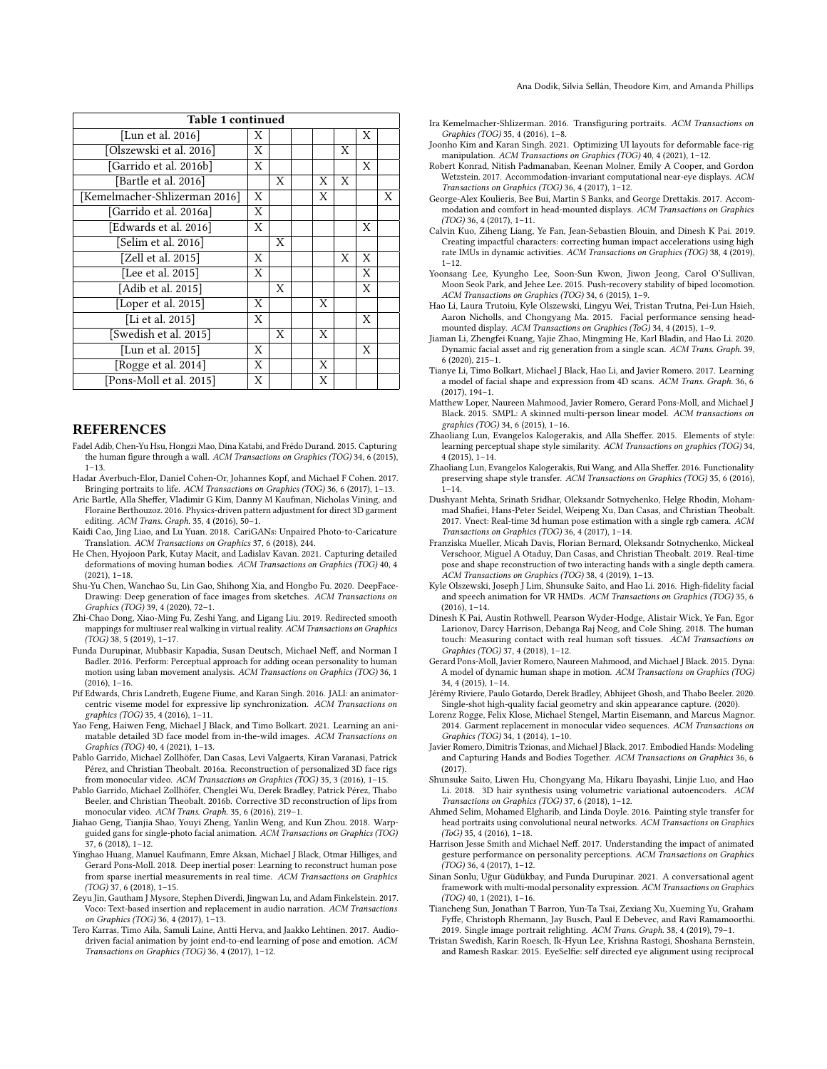| Table 1 continued             |   |   |  |   |   |   |   |  |  |
|-------------------------------|---|---|--|---|---|---|---|--|--|
| [Lun et al. 2016]             | Χ |   |  |   |   | Χ |   |  |  |
| [Olszewski et al. 2016]       | Χ |   |  |   | X |   |   |  |  |
| [Garrido et al. 2016b]        | X |   |  |   |   | X |   |  |  |
| [Bartle et al. 2016]          |   | X |  | X | X |   |   |  |  |
| [Kemelmacher-Shlizerman 2016] | Χ |   |  | X |   |   | X |  |  |
| [Garrido et al. 2016a]        | Χ |   |  |   |   |   |   |  |  |
| [Edwards et al. 2016]         | Χ |   |  |   |   | Χ |   |  |  |
| [Selim et al. 2016]           |   | X |  |   |   |   |   |  |  |
| [Zell et al. 2015]            | Χ |   |  |   | X | X |   |  |  |
| [Lee et al. 2015]             | Χ |   |  |   |   | Χ |   |  |  |
| [Adib et al. 2015]            |   | X |  |   |   | Χ |   |  |  |
| [Loper et al. 2015]           | Χ |   |  | X |   |   |   |  |  |
| [Li et al. 2015]              | Χ |   |  |   |   | X |   |  |  |
| [Swedish et al. 2015]         |   | X |  | X |   |   |   |  |  |
| [Lun et al. 2015]             | X |   |  |   |   | X |   |  |  |
| [Rogge et al. 2014]           | X |   |  | X |   |   |   |  |  |
| [Pons-Moll et al. 2015]       | X |   |  | X |   |   |   |  |  |

#### **REFERENCES**

- <span id="page-1-35"></span>Fadel Adib, Chen-Yu Hsu, Hongzi Mao, Dina Katabi, and Frédo Durand. 2015. Capturing the human figure through a wall. ACM Transactions on Graphics (TOG) 34, 6 (2015),  $1 - 13$
- <span id="page-1-16"></span>Hadar Averbuch-Elor, Daniel Cohen-Or, Johannes Kopf, and Michael F Cohen. 2017. Bringing portraits to life. ACM Transactions on Graphics (TOG) 36, 6 (2017), 1–13.
- <span id="page-1-29"></span>Aric Bartle, Alla Sheffer, Vladimir G Kim, Danny M Kaufman, Nicholas Vining, and Floraine Berthouzoz. 2016. Physics-driven pattern adjustment for direct 3D garment editing. ACM Trans. Graph. 35, 4 (2016), 50–1.
- <span id="page-1-11"></span>Kaidi Cao, Jing Liao, and Lu Yuan. 2018. CariGANs: Unpaired Photo-to-Caricature Translation. ACM Transactions on Graphics 37, 6 (2018), 244.
- <span id="page-1-0"></span>He Chen, Hyojoon Park, Kutay Macit, and Ladislav Kavan. 2021. Capturing detailed deformations of moving human bodies. ACM Transactions on Graphics (TOG) 40, 4 (2021), 1–18.
- <span id="page-1-5"></span>Shu-Yu Chen, Wanchao Su, Lin Gao, Shihong Xia, and Hongbo Fu. 2020. DeepFace-Drawing: Deep generation of face images from sketches. ACM Transactions on Graphics (TOG) 39, 4 (2020), 72–1.
- <span id="page-1-7"></span>Zhi-Chao Dong, Xiao-Ming Fu, Zeshi Yang, and Ligang Liu. 2019. Redirected smooth mappings for multiuser real walking in virtual reality. ACM Transactions on Graphics (TOG) 38, 5 (2019), 1–17.
- <span id="page-1-21"></span>Funda Durupinar, Mubbasir Kapadia, Susan Deutsch, Michael Neff, and Norman I Badler. 2016. Perform: Perceptual approach for adding ocean personality to human motion using laban movement analysis. ACM Transactions on Graphics (TOG) 36, 1  $(2016), 1-16.$
- <span id="page-1-32"></span>Pif Edwards, Chris Landreth, Eugene Fiume, and Karan Singh. 2016. JALI: an animatorcentric viseme model for expressive lip synchronization. ACM Transactions on graphics (TOG) 35, 4 (2016), 1–11.
- <span id="page-1-2"></span>Yao Feng, Haiwen Feng, Michael J Black, and Timo Bolkart. 2021. Learning an animatable detailed 3D face model from in-the-wild images. ACM Transactions on Graphics (TOG) 40, 4 (2021), 1–13.
- <span id="page-1-31"></span>Pablo Garrido, Michael Zollhöfer, Dan Casas, Levi Valgaerts, Kiran Varanasi, Patrick Pérez, and Christian Theobalt. 2016a. Reconstruction of personalized 3D face rigs from monocular video. ACM Transactions on Graphics (TOG) 35, 3 (2016), 1-15.
- <span id="page-1-28"></span>Pablo Garrido, Michael Zollhöfer, Chenglei Wu, Derek Bradley, Patrick Pérez, Thabo Beeler, and Christian Theobalt. 2016b. Corrective 3D reconstruction of lips from monocular video. ACM Trans. Graph. 35, 6 (2016), 219–1.
- <span id="page-1-12"></span>Jiahao Geng, Tianjia Shao, Youyi Zheng, Yanlin Weng, and Kun Zhou. 2018. Warpguided gans for single-photo facial animation. ACM Transactions on Graphics (TOG) 37, 6 (2018), 1–12.
- <span id="page-1-13"></span>Yinghao Huang, Manuel Kaufmann, Emre Aksan, Michael J Black, Otmar Hilliges, and Gerard Pons-Moll. 2018. Deep inertial poser: Learning to reconstruct human pose from sparse inertial measurements in real time. ACM Transactions on Graphics (TOG) 37, 6 (2018), 1–15.
- <span id="page-1-25"></span>Zeyu Jin, Gautham J Mysore, Stephen Diverdi, Jingwan Lu, and Adam Finkelstein. 2017. Voco: Text-based insertion and replacement in audio narration. ACM Transactions on Graphics (TOG) 36, 4 (2017), 1–13.
- <span id="page-1-24"></span>Tero Karras, Timo Aila, Samuli Laine, Antti Herva, and Jaakko Lehtinen. 2017. Audiodriven facial animation by joint end-to-end learning of pose and emotion.  $ACM$ Transactions on Graphics (TOG) 36, 4 (2017), 1–12.
- <span id="page-1-30"></span>Ira Kemelmacher-Shlizerman. 2016. Transfiguring portraits. ACM Transactions on Graphics (TOG) 35, 4 (2016), 1–8.
- <span id="page-1-3"></span>Joonho Kim and Karan Singh. 2021. Optimizing UI layouts for deformable face-rig manipulation. ACM Transactions on Graphics (TOG) 40, 4 (2021), 1–12.
- <span id="page-1-23"></span>Robert Konrad, Nitish Padmanaban, Keenan Molner, Emily A Cooper, and Gordon Wetzstein. 2017. Accommodation-invariant computational near-eye displays. ACM Transactions on Graphics (TOG) 36, 4 (2017), 1–12.
- <span id="page-1-22"></span>George-Alex Koulieris, Bee Bui, Martin S Banks, and George Drettakis. 2017. Accommodation and comfort in head-mounted displays. ACM Transactions on Graphics (TOG) 36, 4 (2017), 1–11.
- <span id="page-1-9"></span>Calvin Kuo, Ziheng Liang, Ye Fan, Jean-Sebastien Blouin, and Dinesh K Pai. 2019. Creating impactful characters: correcting human impact accelerations using high rate IMUs in dynamic activities. ACM Transactions on Graphics (TOG) 38, 4 (2019), 1–12.
- <span id="page-1-34"></span>Yoonsang Lee, Kyungho Lee, Soon-Sun Kwon, Jiwon Jeong, Carol O'Sullivan, Moon Seok Park, and Jehee Lee. 2015. Push-recovery stability of biped locomotion. ACM Transactions on Graphics (TOG) 34, 6 (2015), 1–9.
- <span id="page-1-37"></span>Hao Li, Laura Trutoiu, Kyle Olszewski, Lingyu Wei, Tristan Trutna, Pei-Lun Hsieh, Aaron Nicholls, and Chongyang Ma. 2015. Facial performance sensing headmounted display. ACM Transactions on Graphics (ToG) 34, 4 (2015), 1–9.
- <span id="page-1-4"></span>Jiaman Li, Zhengfei Kuang, Yajie Zhao, Mingming He, Karl Bladin, and Hao Li. 2020. Dynamic facial asset and rig generation from a single scan. ACM Trans. Graph. 39, 6 (2020), 215–1.
- <span id="page-1-17"></span>Tianye Li, Timo Bolkart, Michael J Black, Hao Li, and Javier Romero. 2017. Learning a model of facial shape and expression from 4D scans. ACM Trans. Graph. 36, 6 (2017), 194–1.
- <span id="page-1-36"></span>Matthew Loper, Naureen Mahmood, Javier Romero, Gerard Pons-Moll, and Michael J Black. 2015. SMPL: A skinned multi-person linear model. ACM transactions on graphics (TOG) 34, 6 (2015), 1–16.
- <span id="page-1-39"></span>Zhaoliang Lun, Evangelos Kalogerakis, and Alla Sheffer. 2015. Elements of style: learning perceptual shape style similarity. ACM Transactions on graphics (TOG) 34, 4 (2015), 1–14.
- <span id="page-1-26"></span>Zhaoliang Lun, Evangelos Kalogerakis, Rui Wang, and Alla Sheffer. 2016. Functionality preserving shape style transfer. ACM Transactions on Graphics (TOG) 35, 6 (2016),  $1 - 14$
- <span id="page-1-19"></span>Dushyant Mehta, Srinath Sridhar, Oleksandr Sotnychenko, Helge Rhodin, Mohammad Shafiei, Hans-Peter Seidel, Weipeng Xu, Dan Casas, and Christian Theobalt. 2017. Vnect: Real-time 3d human pose estimation with a single rgb camera. ACM Transactions on Graphics (TOG) 36, 4 (2017), 1–14.
- <span id="page-1-8"></span>Franziska Mueller, Micah Davis, Florian Bernard, Oleksandr Sotnychenko, Mickeal Verschoor, Miguel A Otaduy, Dan Casas, and Christian Theobalt. 2019. Real-time pose and shape reconstruction of two interacting hands with a single depth camera. ACM Transactions on Graphics (TOG) 38, 4 (2019), 1–13.
- <span id="page-1-27"></span>Kyle Olszewski, Joseph J Lim, Shunsuke Saito, and Hao Li. 2016. High-fidelity facial and speech animation for VR HMDs. ACM Transactions on Graphics (TOG) 35, 6 (2016), 1–14.
- <span id="page-1-15"></span>Dinesh K Pai, Austin Rothwell, Pearson Wyder-Hodge, Alistair Wick, Ye Fan, Egor Larionov, Darcy Harrison, Debanga Raj Neog, and Cole Shing. 2018. The human touch: Measuring contact with real human soft tissues. ACM Transactions on Graphics (TOG) 37, 4 (2018), 1–12.
- <span id="page-1-41"></span>Gerard Pons-Moll, Javier Romero, Naureen Mahmood, and Michael J Black. 2015. Dyna: A model of dynamic human shape in motion. ACM Transactions on Graphics (TOG) 34, 4 (2015), 1–14.
- <span id="page-1-6"></span>Jérémy Riviere, Paulo Gotardo, Derek Bradley, Abhijeet Ghosh, and Thabo Beeler. 2020. Single-shot high-quality facial geometry and skin appearance capture. (2020).
- <span id="page-1-40"></span>Lorenz Rogge, Felix Klose, Michael Stengel, Martin Eisemann, and Marcus Magnor. 2014. Garment replacement in monocular video sequences. ACM Transactions on Graphics (TOG) 34, 1 (2014), 1–10.
- <span id="page-1-18"></span>Javier Romero, Dimitris Tzionas, and Michael J Black. 2017. Embodied Hands: Modeling and Capturing Hands and Bodies Together. ACM Transactions on Graphics 36, 6 (2017).
- <span id="page-1-14"></span>Shunsuke Saito, Liwen Hu, Chongyang Ma, Hikaru Ibayashi, Linjie Luo, and Hao Li. 2018. 3D hair synthesis using volumetric variational autoencoders. ACM Transactions on Graphics (TOG) 37, 6 (2018), 1–12.
- <span id="page-1-33"></span>Ahmed Selim, Mohamed Elgharib, and Linda Doyle. 2016. Painting style transfer for head portraits using convolutional neural networks. ACM Transactions on Graphics (ToG) 35, 4 (2016), 1–18.
- <span id="page-1-20"></span>Harrison Jesse Smith and Michael Neff. 2017. Understanding the impact of animated gesture performance on personality perceptions. ACM Transactions on Graphics  $(TOG)$  36, 4 (2017), 1-12.
- <span id="page-1-1"></span>Sinan Sonlu, Uğur Güdükbay, and Funda Durupinar. 2021. A conversational agent framework with multi-modal personality expression. ACM Transactions on Graphics (TOG) 40, 1 (2021), 1–16.
- <span id="page-1-10"></span>Tiancheng Sun, Jonathan T Barron, Yun-Ta Tsai, Zexiang Xu, Xueming Yu, Graham Fyffe, Christoph Rhemann, Jay Busch, Paul E Debevec, and Ravi Ramamoorthi. 2019. Single image portrait relighting. ACM Trans. Graph. 38, 4 (2019), 79–1.
- <span id="page-1-38"></span>Tristan Swedish, Karin Roesch, Ik-Hyun Lee, Krishna Rastogi, Shoshana Bernstein, and Ramesh Raskar. 2015. EyeSelfie: self directed eye alignment using reciprocal